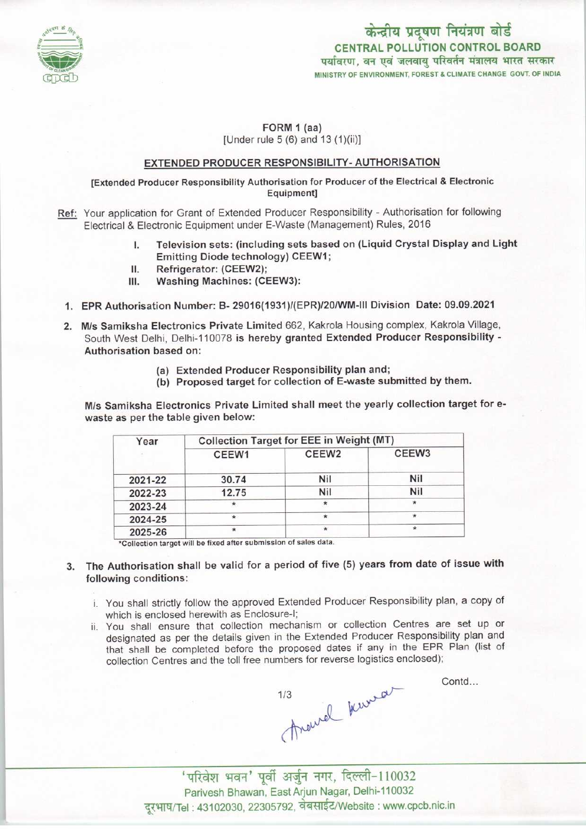

केन्द्रीय प्रदूषण नियंत्रण बोर्ड CENTRAL POLLUTION CONTROL BOARD<br>पर्यावरण, वन एवं जलवाय परिवर्तन मंत्रालय भारत सरकार MINISTRY OF ENVIRONMENT, FOREST & CLIMATE CHANGE GOVT. OF INDIA

# FORM 1 (aa)

[Under rule 5 (6) and 13 (1)(ii)]

### EXTENDED PRODUCER RESPONSIBILITY- AUTHORISATION

[Extended Producer Responsibility Authorisation for Producer of the Electrical & Electronic Equipment]

- Ref: Your application for Grant of Extended Producer Responsibility Authorisation for following Electrical & Electronic Equipment under E-Waste (Management) Rules, 2016
	- I. Television sets: (including sets based on (Liquid Crystal Display and Light Emitting Diode technology) CEEW1;
	- II. Refrigerator: (CEEW2);<br>III. Washing Machines: (CE
	- Washing Machines: (CEEW3):
	- 1.EPR Authorisation Number: B- 29016(1931)/(EPR)/20/WM-lll Division Date: 09.09.2021
	- 2. M/s Samiksha Electronics Private Limited 662, Kakrola Housing complex, Kakrola Village, South West Delhi, Delhi-110078 is hereby granted Extended Producer Responsibility - Authorisation based on:
		- (a)Extended Producer Responsibility plan and;
		- (b) Proposed target for collection of E-waste submitted by them.

M/s Samiksha Electronics Private Limited shall meet the yearly collection target for ewaste as per the table given below:

| Year    | Collection Target for EEE in Weight (MT) |                   |                   |
|---------|------------------------------------------|-------------------|-------------------|
|         | CEEW1                                    | CEEW <sub>2</sub> | CEEW <sub>3</sub> |
| 2021-22 | 30.74                                    | Nil               | Nil               |
| 2022-23 | 12.75                                    | Nil               | Nil               |
| 2023-24 | *                                        |                   | ∗                 |
| 2024-25 | $\star$                                  | $\star$           | $\star$           |
| 2025-26 | $\star$                                  |                   | ÷                 |

\*Collection target will be fixed after submission of sales data.

- 3. The Authorisation shall be valid for a period of five (5) years from date of issue with following conditions:
	- i. You shall strictly follow the approved Extended Producer Responsibility plan, a copy of which is enclosed herewith as Enclosure-I;
	- ii. You shall ensure that collection mechanism or collection Centres are set up or designated as per the details given in the Extended Producer Responsibility plan and that shall be completed before the proposed dates if any in the EPR Plan (list of collection Centres and the toll free numbers for reverse logistics enclosed);

<sup>J</sup> ^-110032 ^>r

Contd...

'परिवेश भवन' पूर्वी अर्जुन नगर, दिल्ली-110032<br>Parivesh Bhawan, East Arjun Nagar, Delhi-110032 दूरभाष/Tel: 43102030, 22305792, वेबसाईट/Website : www.cpcb.nic.in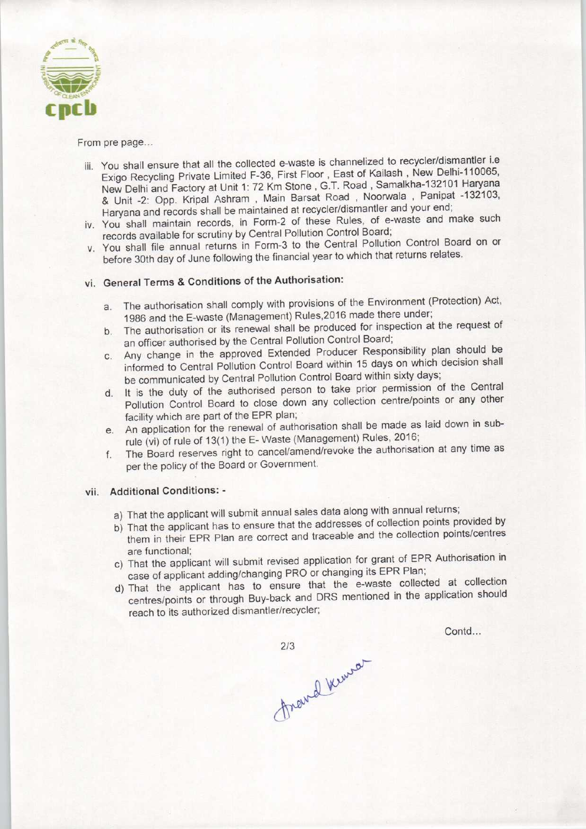

#### From pre page...

- iii. You shall ensure that all the collected e-waste is channelized to recycler/dismantler i.e Exigo Recycling Private Limited F-36, First Floor, East of Kailash , New Delhi-110065, New Delhi and Factory at Unit 1: 72 Km Stone , G.T. Road , Samalkha-132101 Haryana & Unit -2: Opp. Kripal Ashram , Main Barsat Road , Noorwala , Panipat -132103, Haryana and records shall be maintained at recycler/dismantler and your end;
- iv. You shall maintain records, in Form-2 of these Rules, of e-waste and make such records available for scrutiny by Central Pollution Control Board;
- v. You shall file annual returns in Form-3 to the Central Pollution Control Board on or before 30th day of June following the financial year to which that returns relates.

# vi. General Terms & Conditions of the Authorisation:

- a.The authorisation shall comply with provisions of the Environment (Protection) Act, 1986 and the E-waste (Management) Rules.2016 made there under;
- b.The authorisation or its renewal shall be produced for inspection at the request of an officer authorised by the Central Pollution Control Board;
- c. Any change in the approved Extended Producer Responsibility plan should be informed to Central Pollution Control Board within 15 days on which decision shall be communicated by Central Pollution Control Board within sixty days;
- d.It is the duty of the authorised person to take prior permission of the Central Pollution Control Board to close down any collection centre/points or any other facility which are part of the EPR plan;
- e. An application for the renewal of authorisation shall be made as laid down in subrule (vi) of rule of 13(1) the E-Waste (Management) Rules, 2016;
- f. The Board reserves right to cancel/amend/revoke the authorisation at any time as per the policy of the Board or Government.

## vii. Additional Conditions: -

- a) That the applicant will submit annual sales data along with annual returns;
- b) That the applicant has to ensure that the addresses of collection points provided by them in their EPR Plan are correct and traceable and the collection points/centres are functional;
- c) That the applicant will submit revised application for grant of EPR Authorisation in case of applicant adding/changing PRO or changing its EPR Plan;
- d)That the applicant has to ensure that the e-waste collected at collection centres/points or through Buy-back and DRS mentioned in the application should reach to its authorized dismantler/recycler;

Contd...

 $2/3$ frand kenson